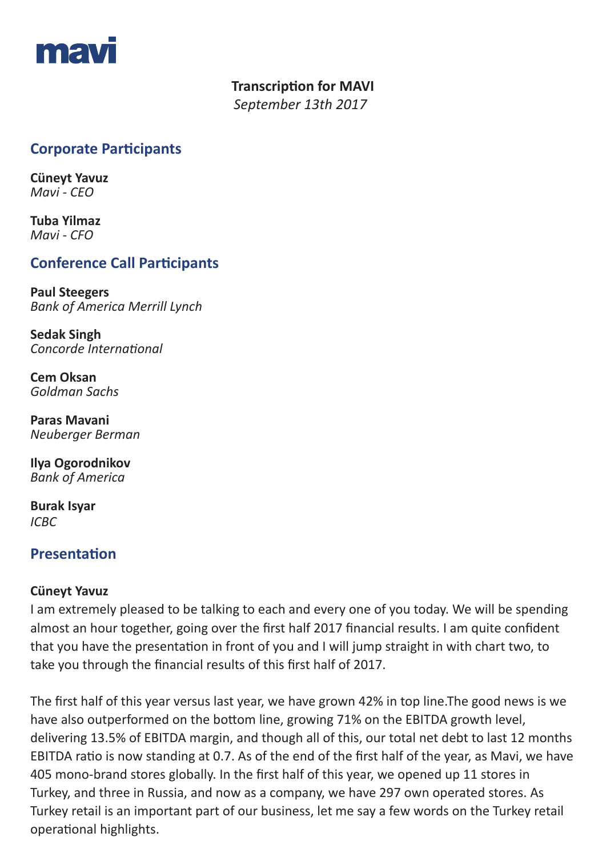

# **Transcription for MAVI**

 *September 13th 2017* 

# **Corporate Participants**

**Cüneyt Yavuz**  *Mavi - CEO*

**Tuba Yilmaz**  *Mavi - CFO*

# **Conference Call Participants**

**Paul Steegers** *Bank of America Merrill Lynch*

**Sedak Singh** *Concorde International*

**Cem Oksan** *Goldman Sachs* 

**Paras Mavani** *Neuberger Berman*

**Ilya Ogorodnikov** *Bank of America* 

**Burak Isyar** *ICBC*

## **Presentation**

### **Cüneyt Yavuz**

I am extremely pleased to be talking to each and every one of you today. We will be spending almost an hour together, going over the first half 2017 financial results. I am quite confident that you have the presentation in front of you and I will jump straight in with chart two, to take you through the financial results of this first half of 2017.

The first half of this year versus last year, we have grown 42% in top line.The good news is we have also outperformed on the bottom line, growing 71% on the EBITDA growth level, delivering 13.5% of EBITDA margin, and though all of this, our total net debt to last 12 months EBITDA ratio is now standing at 0.7. As of the end of the first half of the year, as Mavi, we have 405 mono-brand stores globally. In the first half of this year, we opened up 11 stores in Turkey, and three in Russia, and now as a company, we have 297 own operated stores. As Turkey retail is an important part of our business, let me say a few words on the Turkey retail operational highlights.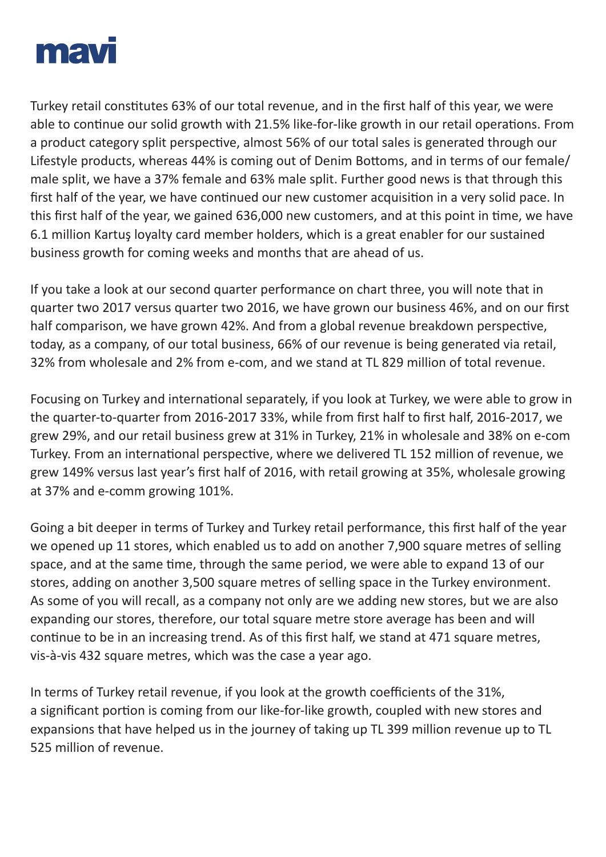

Turkey retail constitutes 63% of our total revenue, and in the first half of this year, we were able to continue our solid growth with 21.5% like-for-like growth in our retail operations. From a product category split perspective, almost 56% of our total sales is generated through our Lifestyle products, whereas 44% is coming out of Denim Bottoms, and in terms of our female/ male split, we have a 37% female and 63% male split. Further good news is that through this first half of the year, we have continued our new customer acquisition in a very solid pace. In this first half of the year, we gained 636,000 new customers, and at this point in time, we have 6.1 million Kartuş loyalty card member holders, which is a great enabler for our sustained business growth for coming weeks and months that are ahead of us.

If you take a look at our second quarter performance on chart three, you will note that in quarter two 2017 versus quarter two 2016, we have grown our business 46%, and on our first half comparison, we have grown 42%. And from a global revenue breakdown perspective, today, as a company, of our total business, 66% of our revenue is being generated via retail, 32% from wholesale and 2% from e-com, and we stand at TL 829 million of total revenue.

Focusing on Turkey and international separately, if you look at Turkey, we were able to grow in the quarter-to-quarter from 2016-2017 33%, while from first half to first half, 2016-2017, we grew 29%, and our retail business grew at 31% in Turkey, 21% in wholesale and 38% on e-com Turkey. From an international perspective, where we delivered TL 152 million of revenue, we grew 149% versus last year's first half of 2016, with retail growing at 35%, wholesale growing at 37% and e-comm growing 101%.

Going a bit deeper in terms of Turkey and Turkey retail performance, this first half of the year we opened up 11 stores, which enabled us to add on another 7,900 square metres of selling space, and at the same time, through the same period, we were able to expand 13 of our stores, adding on another 3,500 square metres of selling space in the Turkey environment. As some of you will recall, as a company not only are we adding new stores, but we are also expanding our stores, therefore, our total square metre store average has been and will continue to be in an increasing trend. As of this first half, we stand at 471 square metres, vis-à-vis 432 square metres, which was the case a year ago.

In terms of Turkey retail revenue, if you look at the growth coefficients of the 31%, a significant portion is coming from our like-for-like growth, coupled with new stores and expansions that have helped us in the journey of taking up TL 399 million revenue up to TL 525 million of revenue.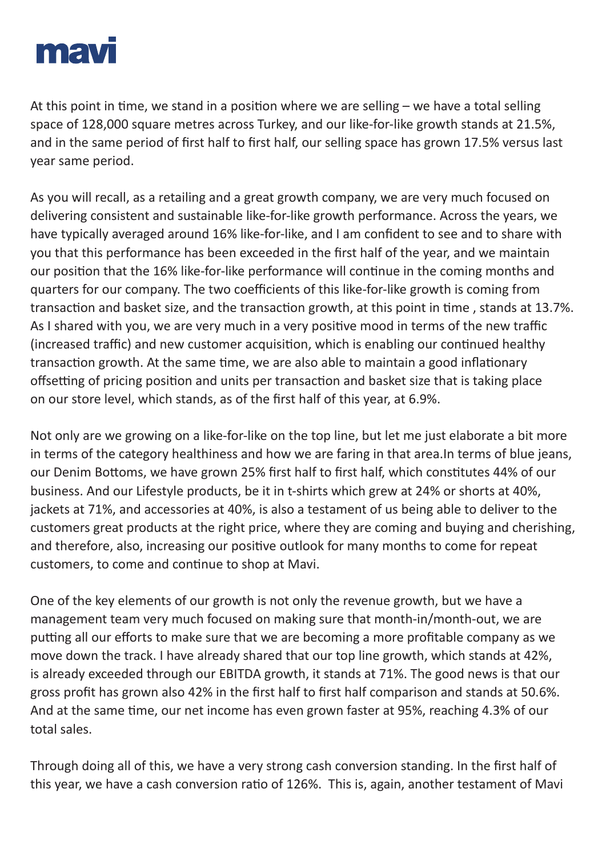

At this point in time, we stand in a position where we are selling – we have a total selling space of 128,000 square metres across Turkey, and our like-for-like growth stands at 21.5%, and in the same period of first half to first half, our selling space has grown 17.5% versus last year same period.

As you will recall, as a retailing and a great growth company, we are very much focused on delivering consistent and sustainable like-for-like growth performance. Across the years, we have typically averaged around 16% like-for-like, and I am confident to see and to share with you that this performance has been exceeded in the first half of the year, and we maintain our position that the 16% like-for-like performance will continue in the coming months and quarters for our company. The two coefficients of this like-for-like growth is coming from transaction and basket size, and the transaction growth, at this point in time , stands at 13.7%. As I shared with you, we are very much in a very positive mood in terms of the new traffic (increased traffic) and new customer acquisition, which is enabling our continued healthy transaction growth. At the same time, we are also able to maintain a good inflationary offsetting of pricing position and units per transaction and basket size that is taking place on our store level, which stands, as of the first half of this year, at 6.9%.

Not only are we growing on a like-for-like on the top line, but let me just elaborate a bit more in terms of the category healthiness and how we are faring in that area.In terms of blue jeans, our Denim Bottoms, we have grown 25% first half to first half, which constitutes 44% of our business. And our Lifestyle products, be it in t-shirts which grew at 24% or shorts at 40%, jackets at 71%, and accessories at 40%, is also a testament of us being able to deliver to the customers great products at the right price, where they are coming and buying and cherishing, and therefore, also, increasing our positive outlook for many months to come for repeat customers, to come and continue to shop at Mavi.

One of the key elements of our growth is not only the revenue growth, but we have a management team very much focused on making sure that month-in/month-out, we are putting all our efforts to make sure that we are becoming a more profitable company as we move down the track. I have already shared that our top line growth, which stands at 42%, is already exceeded through our EBITDA growth, it stands at 71%. The good news is that our gross profit has grown also 42% in the first half to first half comparison and stands at 50.6%. And at the same time, our net income has even grown faster at 95%, reaching 4.3% of our total sales.

Through doing all of this, we have a very strong cash conversion standing. In the first half of this year, we have a cash conversion ratio of 126%. This is, again, another testament of Mavi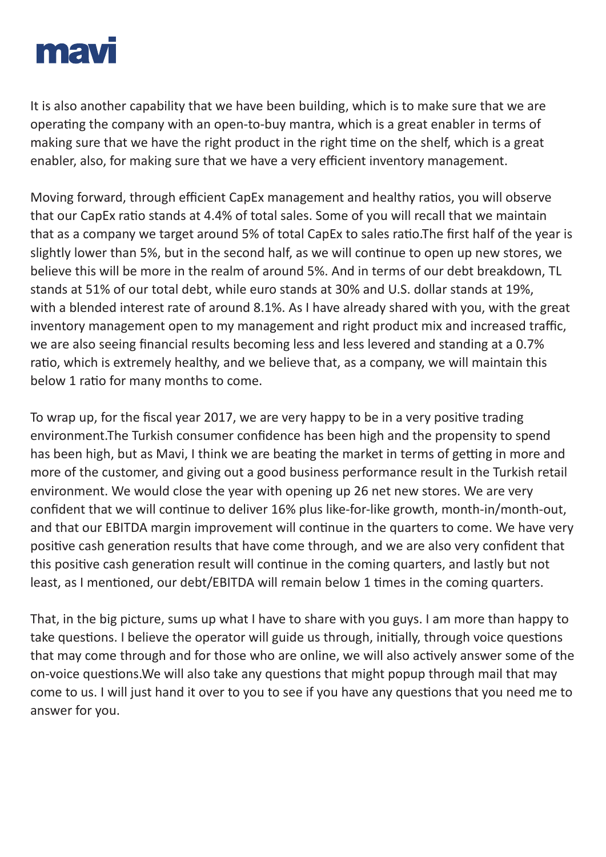

It is also another capability that we have been building, which is to make sure that we are operating the company with an open-to-buy mantra, which is a great enabler in terms of making sure that we have the right product in the right time on the shelf, which is a great enabler, also, for making sure that we have a very efficient inventory management.

Moving forward, through efficient CapEx management and healthy ratios, you will observe that our CapEx ratio stands at 4.4% of total sales. Some of you will recall that we maintain that as a company we target around 5% of total CapEx to sales ratio.The first half of the year is slightly lower than 5%, but in the second half, as we will continue to open up new stores, we believe this will be more in the realm of around 5%. And in terms of our debt breakdown, TL stands at 51% of our total debt, while euro stands at 30% and U.S. dollar stands at 19%, with a blended interest rate of around 8.1%. As I have already shared with you, with the great inventory management open to my management and right product mix and increased traffic, we are also seeing financial results becoming less and less levered and standing at a 0.7% ratio, which is extremely healthy, and we believe that, as a company, we will maintain this below 1 ratio for many months to come.

To wrap up, for the fiscal year 2017, we are very happy to be in a very positive trading environment.The Turkish consumer confidence has been high and the propensity to spend has been high, but as Mavi, I think we are beating the market in terms of getting in more and more of the customer, and giving out a good business performance result in the Turkish retail environment. We would close the year with opening up 26 net new stores. We are very confident that we will continue to deliver 16% plus like-for-like growth, month-in/month-out, and that our EBITDA margin improvement will continue in the quarters to come. We have very positive cash generation results that have come through, and we are also very confident that this positive cash generation result will continue in the coming quarters, and lastly but not least, as I mentioned, our debt/EBITDA will remain below 1 times in the coming quarters.

That, in the big picture, sums up what I have to share with you guys. I am more than happy to take questions. I believe the operator will guide us through, initially, through voice questions that may come through and for those who are online, we will also actively answer some of the on-voice questions.We will also take any questions that might popup through mail that may come to us. I will just hand it over to you to see if you have any questions that you need me to answer for you.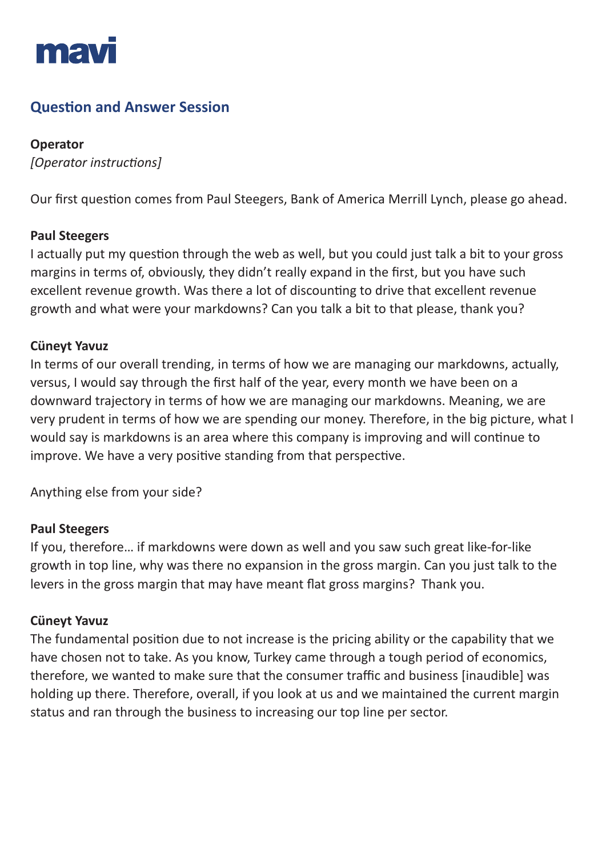

# **Question and Answer Session**

## **Operator**

*[Operator instructions]*

Our first question comes from Paul Steegers, Bank of America Merrill Lynch, please go ahead.

### **Paul Steegers**

I actually put my question through the web as well, but you could just talk a bit to your gross margins in terms of, obviously, they didn't really expand in the first, but you have such excellent revenue growth. Was there a lot of discounting to drive that excellent revenue growth and what were your markdowns? Can you talk a bit to that please, thank you?

## **Cüneyt Yavuz**

In terms of our overall trending, in terms of how we are managing our markdowns, actually, versus, I would say through the first half of the year, every month we have been on a downward trajectory in terms of how we are managing our markdowns. Meaning, we are very prudent in terms of how we are spending our money. Therefore, in the big picture, what I would say is markdowns is an area where this company is improving and will continue to improve. We have a very positive standing from that perspective.

Anything else from your side?

### **Paul Steegers**

If you, therefore… if markdowns were down as well and you saw such great like-for-like growth in top line, why was there no expansion in the gross margin. Can you just talk to the levers in the gross margin that may have meant flat gross margins? Thank you.

### **Cüneyt Yavuz**

The fundamental position due to not increase is the pricing ability or the capability that we have chosen not to take. As you know, Turkey came through a tough period of economics, therefore, we wanted to make sure that the consumer traffic and business [inaudible] was holding up there. Therefore, overall, if you look at us and we maintained the current margin status and ran through the business to increasing our top line per sector.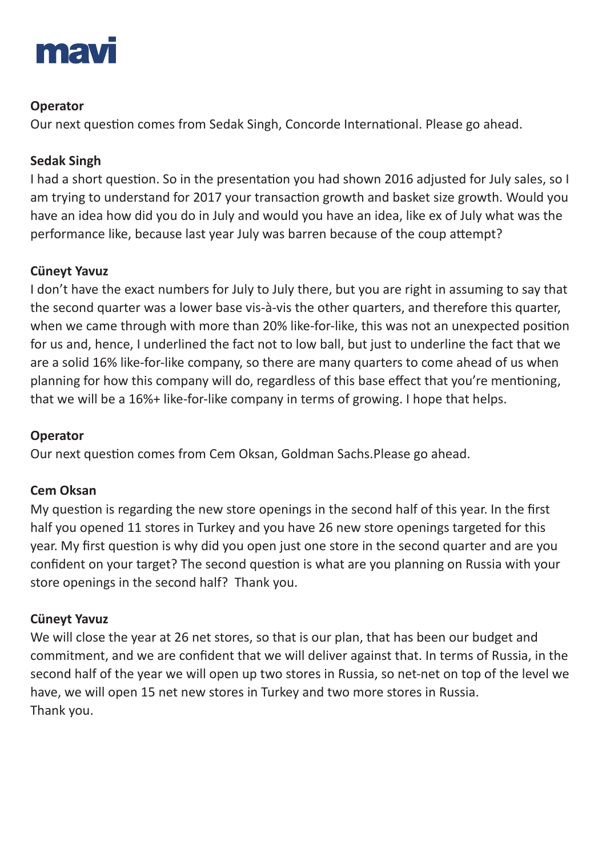

## **Operator**

Our next question comes from Sedak Singh, Concorde International. Please go ahead.

## **Sedak Singh**

I had a short question. So in the presentation you had shown 2016 adjusted for July sales, so I am trying to understand for 2017 your transaction growth and basket size growth. Would you have an idea how did you do in July and would you have an idea, like ex of July what was the performance like, because last year July was barren because of the coup attempt?

## **Cüneyt Yavuz**

I don't have the exact numbers for July to July there, but you are right in assuming to say that the second quarter was a lower base vis-à-vis the other quarters, and therefore this quarter, when we came through with more than 20% like-for-like, this was not an unexpected position for us and, hence, I underlined the fact not to low ball, but just to underline the fact that we are a solid 16% like-for-like company, so there are many quarters to come ahead of us when planning for how this company will do, regardless of this base effect that you're mentioning, that we will be a 16%+ like-for-like company in terms of growing. I hope that helps.

## **Operator**

Our next question comes from Cem Oksan, Goldman Sachs.Please go ahead.

## **Cem Oksan**

My question is regarding the new store openings in the second half of this year. In the first half you opened 11 stores in Turkey and you have 26 new store openings targeted for this year. My first question is why did you open just one store in the second quarter and are you confident on your target? The second question is what are you planning on Russia with your store openings in the second half? Thank you.

## **Cüneyt Yavuz**

We will close the year at 26 net stores, so that is our plan, that has been our budget and commitment, and we are confident that we will deliver against that. In terms of Russia, in the second half of the year we will open up two stores in Russia, so net-net on top of the level we have, we will open 15 net new stores in Turkey and two more stores in Russia. Thank you.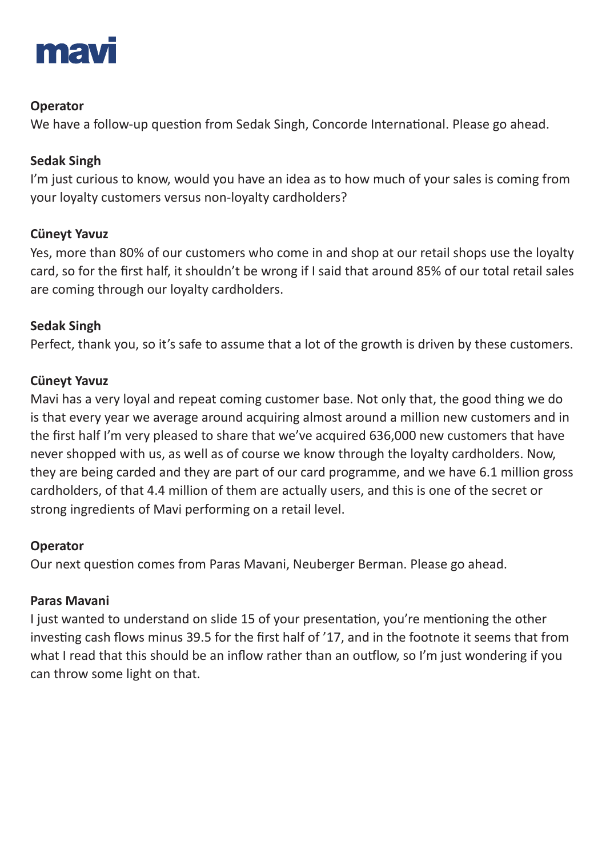

## **Operator**

We have a follow-up question from Sedak Singh, Concorde International. Please go ahead.

## **Sedak Singh**

I'm just curious to know, would you have an idea as to how much of your sales is coming from your loyalty customers versus non-loyalty cardholders?

## **Cüneyt Yavuz**

Yes, more than 80% of our customers who come in and shop at our retail shops use the loyalty card, so for the first half, it shouldn't be wrong if I said that around 85% of our total retail sales are coming through our loyalty cardholders.

## **Sedak Singh**

Perfect, thank you, so it's safe to assume that a lot of the growth is driven by these customers.

## **Cüneyt Yavuz**

Mavi has a very loyal and repeat coming customer base. Not only that, the good thing we do is that every year we average around acquiring almost around a million new customers and in the first half I'm very pleased to share that we've acquired 636,000 new customers that have never shopped with us, as well as of course we know through the loyalty cardholders. Now, they are being carded and they are part of our card programme, and we have 6.1 million gross cardholders, of that 4.4 million of them are actually users, and this is one of the secret or strong ingredients of Mavi performing on a retail level.

## **Operator**

Our next question comes from Paras Mavani, Neuberger Berman. Please go ahead.

## **Paras Mavani**

I just wanted to understand on slide 15 of your presentation, you're mentioning the other investing cash flows minus 39.5 for the first half of '17, and in the footnote it seems that from what I read that this should be an inflow rather than an outflow, so I'm just wondering if you can throw some light on that.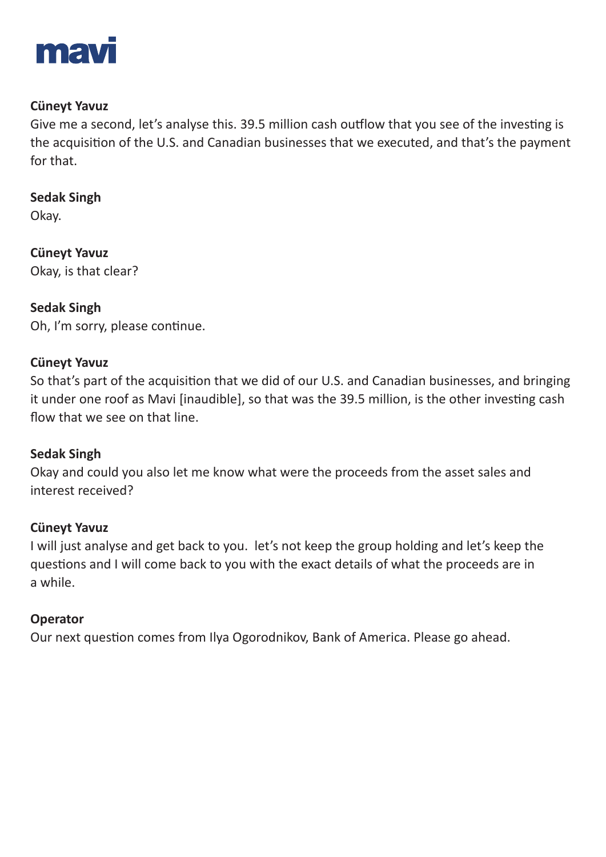

### **Cüneyt Yavuz**

Give me a second, let's analyse this. 39.5 million cash outflow that you see of the investing is the acquisition of the U.S. and Canadian businesses that we executed, and that's the payment for that.

**Sedak Singh** Okay.

**Cüneyt Yavuz**  Okay, is that clear?

**Sedak Singh** Oh, I'm sorry, please continue.

### **Cüneyt Yavuz**

So that's part of the acquisition that we did of our U.S. and Canadian businesses, and bringing it under one roof as Mavi [inaudible], so that was the 39.5 million, is the other investing cash flow that we see on that line.

### **Sedak Singh**

Okay and could you also let me know what were the proceeds from the asset sales and interest received?

### **Cüneyt Yavuz**

I will just analyse and get back to you. let's not keep the group holding and let's keep the questions and I will come back to you with the exact details of what the proceeds are in a while.

### **Operator**

Our next question comes from Ilya Ogorodnikov, Bank of America. Please go ahead.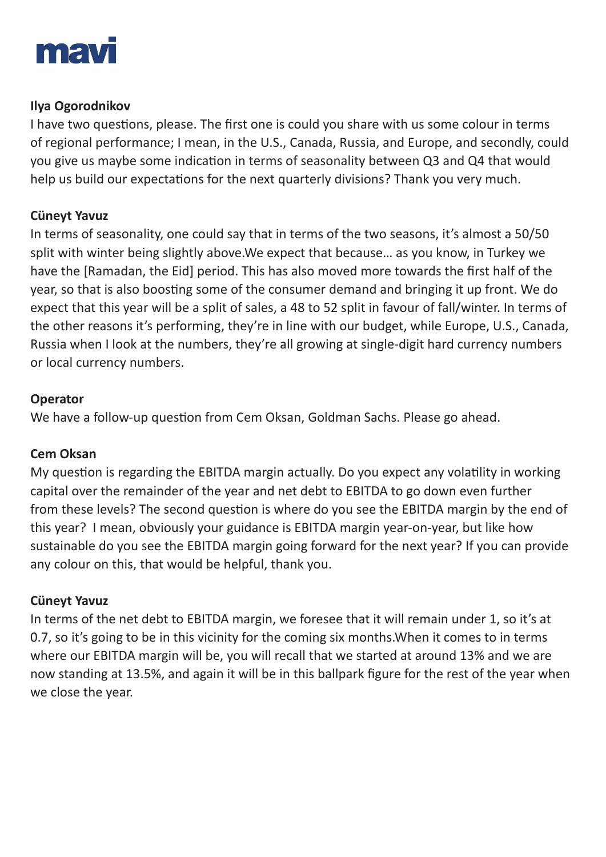

### **Ilya Ogorodnikov**

I have two questions, please. The first one is could you share with us some colour in terms of regional performance; I mean, in the U.S., Canada, Russia, and Europe, and secondly, could you give us maybe some indication in terms of seasonality between Q3 and Q4 that would help us build our expectations for the next quarterly divisions? Thank you very much.

### **Cüneyt Yavuz**

In terms of seasonality, one could say that in terms of the two seasons, it's almost a 50/50 split with winter being slightly above.We expect that because… as you know, in Turkey we have the [Ramadan, the Eid] period. This has also moved more towards the first half of the year, so that is also boosting some of the consumer demand and bringing it up front. We do expect that this year will be a split of sales, a 48 to 52 split in favour of fall/winter. In terms of the other reasons it's performing, they're in line with our budget, while Europe, U.S., Canada, Russia when I look at the numbers, they're all growing at single-digit hard currency numbers or local currency numbers.

### **Operator**

We have a follow-up question from Cem Oksan, Goldman Sachs. Please go ahead.

## **Cem Oksan**

My question is regarding the EBITDA margin actually. Do you expect any volatility in working capital over the remainder of the year and net debt to EBITDA to go down even further from these levels? The second question is where do you see the EBITDA margin by the end of this year? I mean, obviously your guidance is EBITDA margin year-on-year, but like how sustainable do you see the EBITDA margin going forward for the next year? If you can provide any colour on this, that would be helpful, thank you.

## **Cüneyt Yavuz**

In terms of the net debt to EBITDA margin, we foresee that it will remain under 1, so it's at 0.7, so it's going to be in this vicinity for the coming six months.When it comes to in terms where our EBITDA margin will be, you will recall that we started at around 13% and we are now standing at 13.5%, and again it will be in this ballpark figure for the rest of the year when we close the year.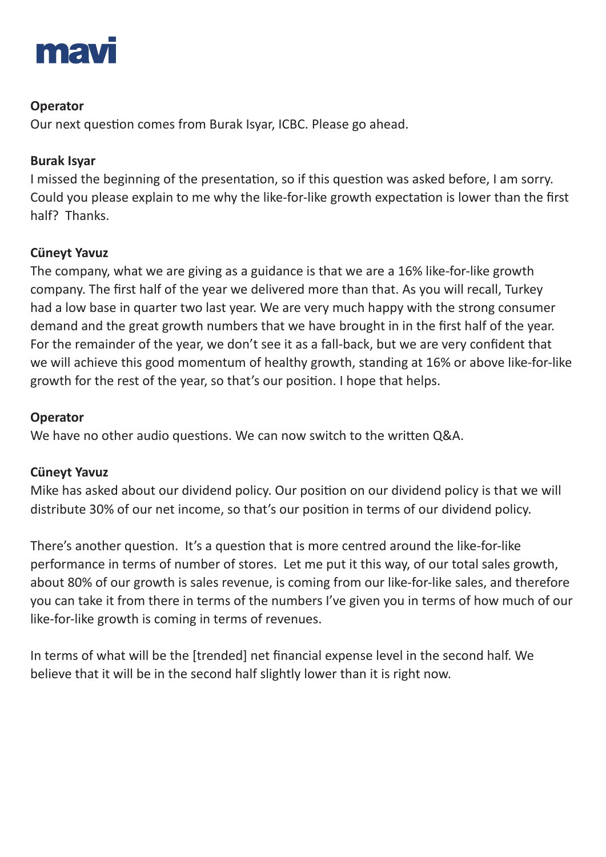

## **Operator**

Our next question comes from Burak Isyar, ICBC. Please go ahead.

## **Burak Isyar**

I missed the beginning of the presentation, so if this question was asked before, I am sorry. Could you please explain to me why the like-for-like growth expectation is lower than the first half? Thanks.

## **Cüneyt Yavuz**

The company, what we are giving as a guidance is that we are a 16% like-for-like growth company. The first half of the year we delivered more than that. As you will recall, Turkey had a low base in quarter two last year. We are very much happy with the strong consumer demand and the great growth numbers that we have brought in in the first half of the year. For the remainder of the year, we don't see it as a fall-back, but we are very confident that we will achieve this good momentum of healthy growth, standing at 16% or above like-for-like growth for the rest of the year, so that's our position. I hope that helps.

## **Operator**

We have no other audio questions. We can now switch to the written Q&A.

## **Cüneyt Yavuz**

Mike has asked about our dividend policy. Our position on our dividend policy is that we will distribute 30% of our net income, so that's our position in terms of our dividend policy.

There's another question. It's a question that is more centred around the like-for-like performance in terms of number of stores. Let me put it this way, of our total sales growth, about 80% of our growth is sales revenue, is coming from our like-for-like sales, and therefore you can take it from there in terms of the numbers I've given you in terms of how much of our like-for-like growth is coming in terms of revenues.

In terms of what will be the [trended] net financial expense level in the second half. We believe that it will be in the second half slightly lower than it is right now.